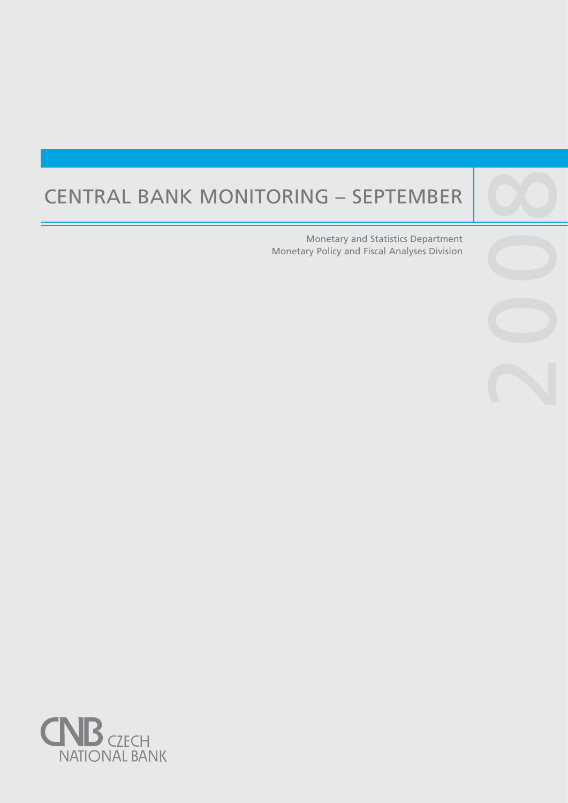# CENTRAL BANK MONITORING – SEPTEMBER

Central banks are not universities and one would

purpose, such as, to lay the ground for the satisfac-

Monetary and Statistics Department Monetary Policy and Fiscal Analyses Division

2009

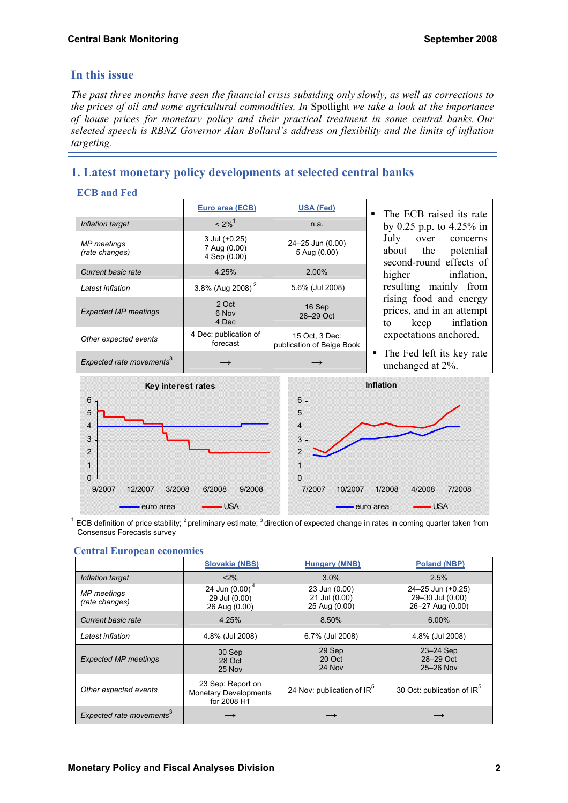## **In this issue**

*The past three months have seen the financial crisis subsiding only slowly, as well as corrections to the prices of oil and some agricultural commodities. In* Spotlight *we take a look at the importance of house prices for monetary policy and their practical treatment in some central banks. Our selected speech is RBNZ Governor Alan Bollard's address on flexibility and the limits of inflation targeting.* 

## **1. Latest monetary policy developments at selected central banks**

#### **ECB and Fed**

|                                      | Euro area (ECB)                               | <b>USA (Fed)</b>                            | • The ECB raised its rate                                                      |
|--------------------------------------|-----------------------------------------------|---------------------------------------------|--------------------------------------------------------------------------------|
| Inflation target                     | $< 2\%$ <sup>1</sup>                          | n.a.                                        | by 0.25 p.p. to 4.25% in                                                       |
| <b>MP</b> meetings<br>(rate changes) | 3 Jul (+0.25)<br>7 Aug (0.00)<br>4 Sep (0.00) | 24-25 Jun (0.00)<br>5 Aug (0.00)            | July<br>concerns<br>over<br>about the<br>potential<br>second-round effects of  |
| <b>Current basic rate</b>            | 4.25%                                         | 2.00%                                       | higher<br>inflation,                                                           |
| Latest inflation                     | 3.8% (Aug 2008) <sup>2</sup>                  | 5.6% (Jul 2008)                             | resulting mainly from                                                          |
| <b>Expected MP meetings</b>          | 2 Oct<br>6 Nov<br>4 Dec                       | 16 Sep<br>28-29 Oct                         | rising food and energy<br>prices, and in an attempt<br>inflation<br>keep<br>to |
| Other expected events                | 4 Dec: publication of<br>forecast             | 15 Oct, 3 Dec:<br>publication of Beige Book | expectations anchored.                                                         |
| Expected rate movements <sup>3</sup> |                                               |                                             | • The Fed left its key rate<br>unchanged at 2%.                                |



 $^1$  ECB definition of price stability; <sup>2</sup> preliminary estimate; <sup>3</sup> direction of expected change in rates in coming quarter taken from Consensus Forecasts survey

#### **Central European economies**

|                                      | <b>Slovakia (NBS)</b>                                            | <b>Hungary (MNB)</b>                            | <b>Poland (NBP)</b>                                       |
|--------------------------------------|------------------------------------------------------------------|-------------------------------------------------|-----------------------------------------------------------|
| Inflation target                     | $< 2\%$                                                          | 3.0%                                            | 2.5%                                                      |
| <b>MP</b> meetings<br>(rate changes) | 24 Jun $(0.00)^4$<br>29 Jul (0.00)<br>26 Aug (0.00)              | 23 Jun (0.00)<br>21 Jul (0.00)<br>25 Aug (0.00) | 24-25 Jun (+0.25)<br>29-30 Jul (0.00)<br>26-27 Aug (0.00) |
| Current basic rate                   | 4.25%                                                            | 8.50%                                           | $6.00\%$                                                  |
| Latest inflation                     | 4.8% (Jul 2008)                                                  | 6.7% (Jul 2008)                                 | 4.8% (Jul 2008)                                           |
| <b>Expected MP meetings</b>          | 30 Sep<br>28 Oct<br>25 Nov                                       | 29 Sep<br>20 Oct<br>24 Nov                      | 23-24 Sep<br>28-29 Oct<br>25-26 Nov                       |
| Other expected events                | 23 Sep: Report on<br><b>Monetary Developments</b><br>for 2008 H1 | 24 Nov: publication of IR <sup>5</sup>          | 30 Oct: publication of IR <sup>5</sup>                    |
| Expected rate movements <sup>3</sup> |                                                                  |                                                 |                                                           |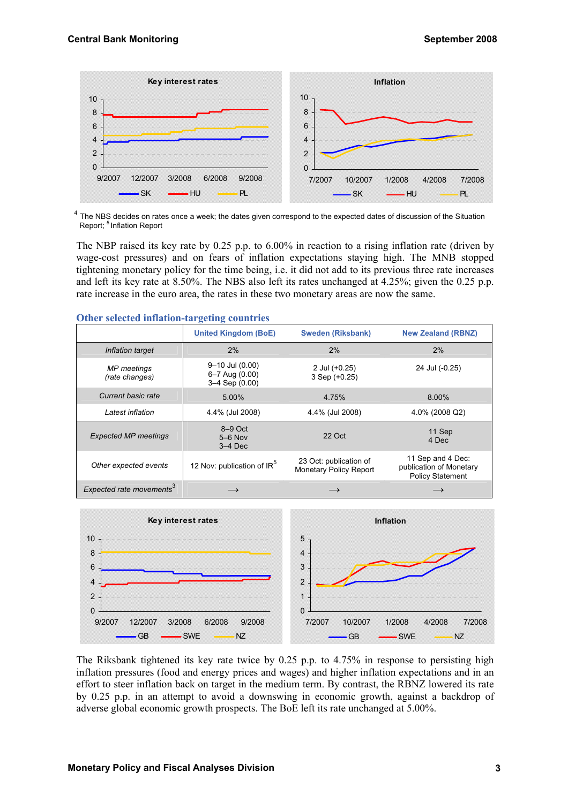

 $4$  The NBS decides on rates once a week; the dates given correspond to the expected dates of discussion of the Situation Report: <sup>5</sup> Inflation Report

The NBP raised its key rate by 0.25 p.p. to 6.00% in reaction to a rising inflation rate (driven by wage-cost pressures) and on fears of inflation expectations staying high. The MNB stopped tightening monetary policy for the time being, i.e. it did not add to its previous three rate increases and left its key rate at 8.50%. The NBS also left its rates unchanged at 4.25%; given the 0.25 p.p. rate increase in the euro area, the rates in these two monetary areas are now the same.

|                                      | <b>United Kingdom (BoE)</b>                             | <b>Sweden (Riksbank)</b>                                | <b>New Zealand (RBNZ)</b>                                               |
|--------------------------------------|---------------------------------------------------------|---------------------------------------------------------|-------------------------------------------------------------------------|
| Inflation target                     | 2%                                                      | 2%                                                      | 2%                                                                      |
| <b>MP</b> meetings<br>(rate changes) | 9-10 Jul (0.00)<br>6-7 Aug (0.00)<br>$3-4$ Sep $(0.00)$ | 2 Jul (+0.25)<br>$3$ Sep $(+0.25)$                      | 24 Jul (-0.25)                                                          |
| Current basic rate                   | 5.00%                                                   | 4.75%                                                   | 8.00%                                                                   |
| Latest inflation                     | 4.4% (Jul 2008)                                         | 4.4% (Jul 2008)                                         | 4.0% (2008 Q2)                                                          |
| <b>Expected MP meetings</b>          | $8-9$ Oct<br>$5-6$ Nov<br>$3-4$ Dec                     | 22 Oct                                                  | 11 Sep<br>4 Dec                                                         |
| Other expected events                | 12 Nov: publication of IR <sup>5</sup>                  | 23 Oct: publication of<br><b>Monetary Policy Report</b> | 11 Sep and 4 Dec:<br>publication of Monetary<br><b>Policy Statement</b> |
| Expected rate movements <sup>3</sup> |                                                         |                                                         |                                                                         |

#### **Other selected inflation-targeting countries**



The Riksbank tightened its key rate twice by 0.25 p.p. to 4.75% in response to persisting high inflation pressures (food and energy prices and wages) and higher inflation expectations and in an effort to steer inflation back on target in the medium term. By contrast, the RBNZ lowered its rate by 0.25 p.p. in an attempt to avoid a downswing in economic growth, against a backdrop of adverse global economic growth prospects. The BoE left its rate unchanged at 5.00%.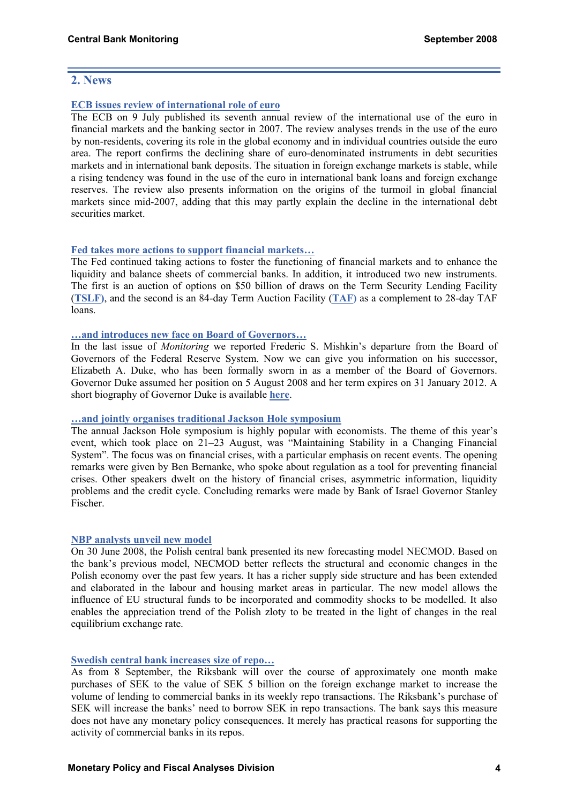### **2. News**

#### **[ECB issues review of international role of euro](http://www.ecb.int/pub/pdf/other/euro-international-role200807en.pdf)**

The ECB on 9 July published its seventh annual review of the international use of the euro in financial markets and the banking sector in 2007. The review analyses trends in the use of the euro by non-residents, covering its role in the global economy and in individual countries outside the euro area. The report confirms the declining share of euro-denominated instruments in debt securities markets and in international bank deposits. The situation in foreign exchange markets is stable, while a rising tendency was found in the use of the euro in international bank loans and foreign exchange reserves. The review also presents information on the origins of the turmoil in global financial markets since mid-2007, adding that this may partly explain the decline in the international debt securities market.

#### **[Fed takes more actions to support financial markets…](http://www.federalreserve.gov/newsevents/press/monetary/20080730a.htm)**

The Fed continued taking actions to foster the functioning of financial markets and to enhance the liquidity and balance sheets of commercial banks. In addition, it introduced two new instruments. The first is an auction of options on \$50 billion of draws on the Term Security Lending Facility (**[TSLF\)](http://www.federalreserve.gov/monetarypolicy/tslf.htm)**, and the second is an 84-day Term Auction Facility (**[TAF\)](http://www.federalreserve.gov/monetarypolicy/taf.htm)** as a complement to 28-day TAF loans.

#### **[…and introduces new face on Board of Governors…](http://www.federalreserve.gov/newsevents/press/other/20080826a.htm)**

In the last issue of *Monitoring* we reported Frederic S. Mishkin's departure from the Board of Governors of the Federal Reserve System. Now we can give you information on his successor, Elizabeth A. Duke, who has been formally sworn in as a member of the Board of Governors. Governor Duke assumed her position on 5 August 2008 and her term expires on 31 January 2012. A short biography of Governor Duke is available **[here](http://www.federalreserve.gov/aboutthefed/bios/board/duke.htm)**.

#### **[…and jointly organises traditional Jackson Hole symposium](http://www.kc.frb.org/home/subwebnav.cfm?level=3&theID=751&SubWeb=7)**

The annual Jackson Hole symposium is highly popular with economists. The theme of this year's event, which took place on 21–23 August, was "Maintaining Stability in a Changing Financial System". The focus was on financial crises, with a particular emphasis on recent events. The opening remarks were given by Ben Bernanke, who spoke about regulation as a tool for preventing financial crises. Other speakers dwelt on the history of financial crises, asymmetric information, liquidity problems and the credit cycle. Concluding remarks were made by Bank of Israel Governor Stanley Fischer.

#### **[NBP analysts unveil new model](http://www.nbp.pl/en/publikacje/raport_inflacja/NECMOD_en.pdf)**

On 30 June 2008, the Polish central bank presented its new forecasting model NECMOD. Based on the bank's previous model, NECMOD better reflects the structural and economic changes in the Polish economy over the past few years. It has a richer supply side structure and has been extended and elaborated in the labour and housing market areas in particular. The new model allows the influence of EU structural funds to be incorporated and commodity shocks to be modelled. It also enables the appreciation trend of the Polish zloty to be treated in the light of changes in the real equilibrium exchange rate.

#### **[Swedish central bank increases size of repo…](http://www.riksbank.com/templates/Page.aspx?id=28724)**

As from 8 September, the Riksbank will over the course of approximately one month make purchases of SEK to the value of SEK 5 billion on the foreign exchange market to increase the volume of lending to commercial banks in its weekly repo transactions. The Riksbank's purchase of SEK will increase the banks' need to borrow SEK in repo transactions. The bank says this measure does not have any monetary policy consequences. It merely has practical reasons for supporting the activity of commercial banks in its repos.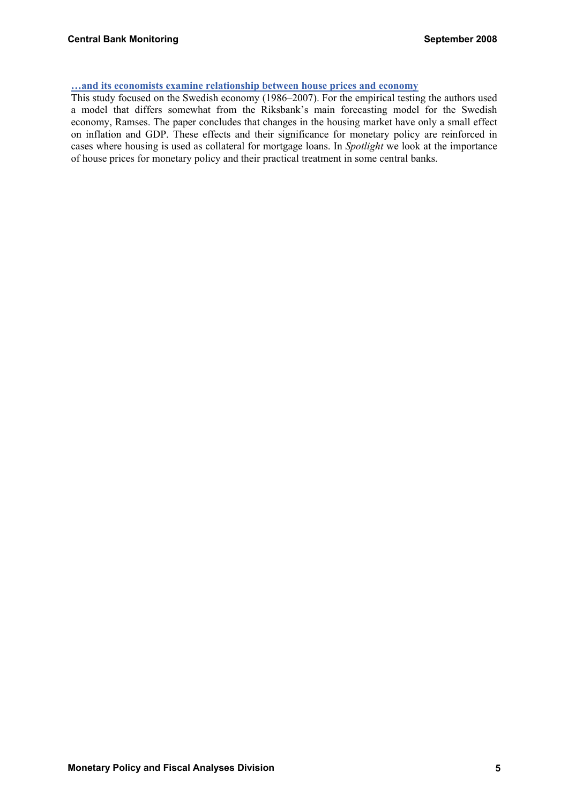#### **[…and its economists examine relationship between house prices and economy](http://www.riksbank.com/upload/Dokument_riksbank/Kat_publicerat/Ekonomiska%20kommentarer/2008/ek_kom_no6eng.pdf)**

This study focused on the Swedish economy (1986–2007). For the empirical testing the authors used a model that differs somewhat from the Riksbank's main forecasting model for the Swedish economy, Ramses. The paper concludes that changes in the housing market have only a small effect on inflation and GDP. These effects and their significance for monetary policy are reinforced in cases where housing is used as collateral for mortgage loans. In *Spotlight* we look at the importance of house prices for monetary policy and their practical treatment in some central banks.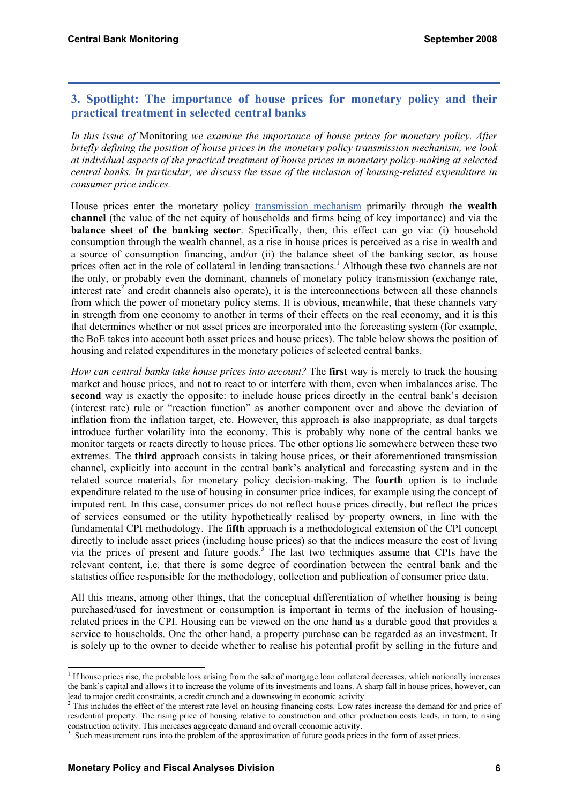## **3. Spotlight: The importance of house prices for monetary policy and their practical treatment in selected central banks**

*In this issue of* Monitoring *we examine the importance of house prices for monetary policy. After briefly defining the position of house prices in the monetary policy transmission mechanism, we look at individual aspects of the practical treatment of house prices in monetary policy-making at selected central banks. In particular, we discuss the issue of the inclusion of housing-related expenditure in consumer price indices.* 

House prices enter the monetary policy [transmission mechanism](http://www.cnb.cz/en/faq/faq_mp/trans_mechanism.html) primarily through the **wealth channel** (the value of the net equity of households and firms being of key importance) and via the **balance sheet of the banking sector**. Specifically, then, this effect can go via: (i) household consumption through the wealth channel, as a rise in house prices is perceived as a rise in wealth and a source of consumption financing, and/or (ii) the balance sheet of the banking sector, as house prices often act in the role of collateral in lending transactions.<sup>1</sup> Although these two channels are not the only, or probably even the dominant, channels of monetary policy transmission (exchange rate, interest rate<sup> $2$ </sup> and credit channels also operate), it is the interconnections between all these channels from which the power of monetary policy stems. It is obvious, meanwhile, that these channels vary in strength from one economy to another in terms of their effects on the real economy, and it is this that determines whether or not asset prices are incorporated into the forecasting system (for example, the BoE takes into account both asset prices and house prices). The table below shows the position of housing and related expenditures in the monetary policies of selected central banks.

*How can central banks take house prices into account?* The first way is merely to track the housing market and house prices, and not to react to or interfere with them, even when imbalances arise. The **second** way is exactly the opposite: to include house prices directly in the central bank's decision (interest rate) rule or "reaction function" as another component over and above the deviation of inflation from the inflation target, etc. However, this approach is also inappropriate, as dual targets introduce further volatility into the economy. This is probably why none of the central banks we monitor targets or reacts directly to house prices. The other options lie somewhere between these two extremes. The **third** approach consists in taking house prices, or their aforementioned transmission channel, explicitly into account in the central bank's analytical and forecasting system and in the related source materials for monetary policy decision-making. The **fourth** option is to include expenditure related to the use of housing in consumer price indices, for example using the concept of imputed rent. In this case, consumer prices do not reflect house prices directly, but reflect the prices of services consumed or the utility hypothetically realised by property owners, in line with the fundamental CPI methodology. The **fifth** approach is a methodological extension of the CPI concept directly to include asset prices (including house prices) so that the indices measure the cost of living via the prices of present and future goods.<sup>3</sup> The last two techniques assume that CPIs have the relevant content, i.e. that there is some degree of coordination between the central bank and the statistics office responsible for the methodology, collection and publication of consumer price data.

All this means, among other things, that the conceptual differentiation of whether housing is being purchased/used for investment or consumption is important in terms of the inclusion of housingrelated prices in the CPI. Housing can be viewed on the one hand as a durable good that provides a service to households. One the other hand, a property purchase can be regarded as an investment. It is solely up to the owner to decide whether to realise his potential profit by selling in the future and

 $\overline{a}$ 

<sup>&</sup>lt;sup>1</sup> If house prices rise, the probable loss arising from the sale of mortgage loan collateral decreases, which notionally increases the bank's capital and allows it to increase the volume of its investments and loans. A sharp fall in house prices, however, can lead to major credit constraints, a credit crunch and a downswing in economic activity.

<sup>&</sup>lt;sup>2</sup> This includes the effect of the interest rate level on housing financing costs. Low rates increase the demand for and price of residential property. The rising price of housing relative to construction and other production costs leads, in turn, to rising construction activity. This increases aggregate demand and overall economic activity.

 $3$  Such measurement runs into the problem of the approximation of future goods prices in the form of asset prices.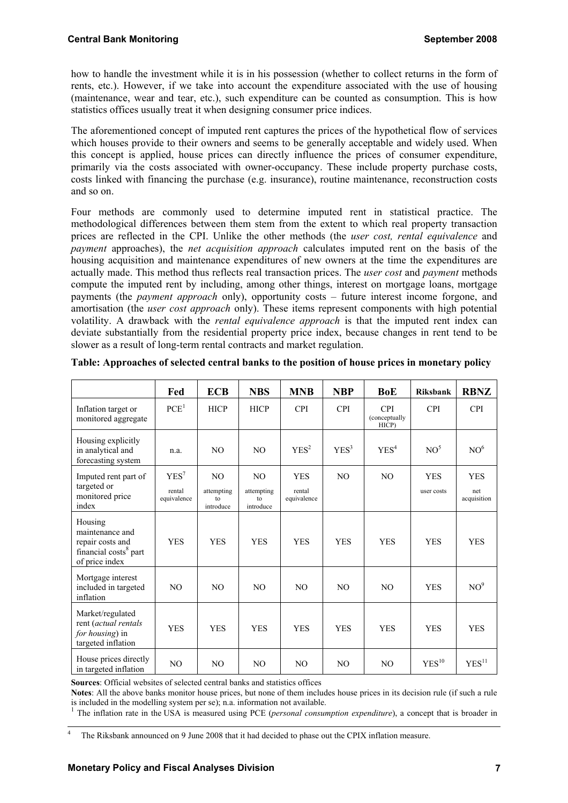how to handle the investment while it is in his possession (whether to collect returns in the form of rents, etc.). However, if we take into account the expenditure associated with the use of housing (maintenance, wear and tear, etc.), such expenditure can be counted as consumption. This is how statistics offices usually treat it when designing consumer price indices.

The aforementioned concept of imputed rent captures the prices of the hypothetical flow of services which houses provide to their owners and seems to be generally acceptable and widely used. When this concept is applied, house prices can directly influence the prices of consumer expenditure, primarily via the costs associated with owner-occupancy. These include property purchase costs, costs linked with financing the purchase (e.g. insurance), routine maintenance, reconstruction costs and so on.

Four methods are commonly used to determine imputed rent in statistical practice. The methodological differences between them stem from the extent to which real property transaction prices are reflected in the CPI. Unlike the other methods (the *user cost, rental equivalence* and *payment* approaches), the *net acquisition approach* calculates imputed rent on the basis of the housing acquisition and maintenance expenditures of new owners at the time the expenditures are actually made. This method thus reflects real transaction prices. The *user cost* and *payment* methods compute the imputed rent by including, among other things, interest on mortgage loans, mortgage payments (the *payment approach* only), opportunity costs – future interest income forgone, and amortisation (the *user cost approach* only). These items represent components with high potential volatility. A drawback with the *rental equivalence approach* is that the imputed rent index can deviate substantially from the residential property price index, because changes in rent tend to be slower as a result of long-term rental contracts and market regulation.

|                                                                                                       | Fed                                       | <b>ECB</b>                                      | <b>NBS</b>                                      | <b>MNB</b>                          | <b>NBP</b>       | BoE                                  | <b>Riksbank</b>          | <b>RBNZ</b>                      |
|-------------------------------------------------------------------------------------------------------|-------------------------------------------|-------------------------------------------------|-------------------------------------------------|-------------------------------------|------------------|--------------------------------------|--------------------------|----------------------------------|
| Inflation target or<br>monitored aggregate                                                            | PCE <sup>1</sup>                          | <b>HICP</b>                                     | <b>HICP</b>                                     | <b>CPI</b>                          | <b>CPI</b>       | <b>CPI</b><br>(conceptually<br>HICP) | <b>CPI</b>               | <b>CPI</b>                       |
| Housing explicitly<br>in analytical and<br>forecasting system                                         | n.a.                                      | NO.                                             | NO.                                             | YES <sup>2</sup>                    | YES <sup>3</sup> | YES <sup>4</sup>                     | NO <sup>5</sup>          | NO <sup>6</sup>                  |
| Imputed rent part of<br>targeted or<br>monitored price<br>index                                       | YES <sup>7</sup><br>rental<br>equivalence | N <sub>O</sub><br>attempting<br>to<br>introduce | N <sub>O</sub><br>attempting<br>to<br>introduce | <b>YES</b><br>rental<br>equivalence | N <sub>O</sub>   | N <sub>O</sub>                       | <b>YES</b><br>user costs | <b>YES</b><br>net<br>acquisition |
| Housing<br>maintenance and<br>repair costs and<br>financial costs <sup>8</sup> part<br>of price index | <b>YES</b>                                | <b>YES</b>                                      | <b>YES</b>                                      | <b>YES</b>                          | <b>YES</b>       | <b>YES</b>                           | <b>YES</b>               | <b>YES</b>                       |
| Mortgage interest<br>included in targeted<br>inflation                                                | N <sub>O</sub>                            | NO.                                             | NO.                                             | NO.                                 | N <sub>O</sub>   | NO.                                  | <b>YES</b>               | NO <sup>9</sup>                  |
| Market/regulated<br>rent (actual rentals<br>for housing) in<br>targeted inflation                     | <b>YES</b>                                | <b>YES</b>                                      | <b>YES</b>                                      | <b>YES</b>                          | <b>YES</b>       | <b>YES</b>                           | <b>YES</b>               | <b>YES</b>                       |
| House prices directly<br>in targeted inflation                                                        | N <sub>O</sub>                            | N <sub>O</sub>                                  | N <sub>O</sub>                                  | NO.                                 | N <sub>O</sub>   | N <sub>O</sub>                       | YES <sup>10</sup>        | YES <sup>11</sup>                |

| Table: Approaches of selected central banks to the position of house prices in monetary policy |  |  |  |
|------------------------------------------------------------------------------------------------|--|--|--|
|                                                                                                |  |  |  |
|                                                                                                |  |  |  |
|                                                                                                |  |  |  |

**Sources**: Official websites of selected central banks and statistics offices

**Notes**: All the above banks monitor house prices, but none of them includes house prices in its decision rule (if such a rule is included in the modelling system per se); n.a. information not available.

<sup>1</sup> The inflation rate in the USA is measured using PCE (*personal consumption expenditure*), a concept that is broader in

 $\frac{1}{4}$ The Riksbank announced on 9 June 2008 that it had decided to phase out the CPIX inflation measure.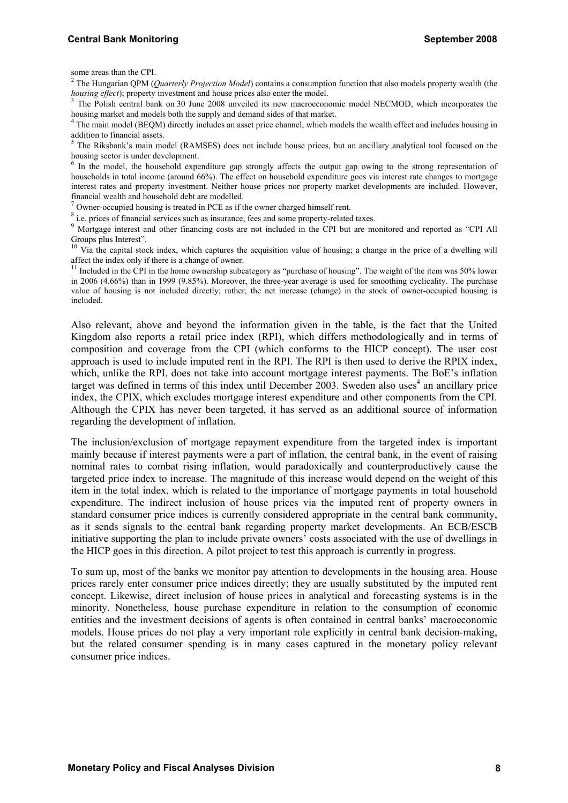some areas than the CPI.

2 The Hungarian QPM (*Quarterly Projection Model*) contains a consumption function that also models property wealth (the *housing effect*); property investment and house prices also enter the model.

<sup>3</sup> The Polish central bank on 30 June 2008 unveiled its new macroeconomic model NECMOD, which incorporates the housing market and models both the supply and demand sides of that market. 4

<sup>4</sup> The main model (BEQM) directly includes an asset price channel, which models the wealth effect and includes housing in

addition to financial assets.<br><sup>5</sup> The Riksbank's main model (RAMSES) does not include house prices, but an ancillary analytical tool focused on the housing sector is under development.

<sup>6</sup> In the model, the household expenditure gap strongly affects the output gap owing to the strong representation of households in total income (around 66%). The effect on household expenditure goes via interest rate changes to mortgage interest rates and property investment. Neither house prices nor property market developments are included. However, financial wealth and household debt are modelled. 7

 $\frac{7}{1}$  Owner-occupied housing is treated in PCE as if the owner charged himself rent.

 $^8$  i.e. prices of financial services such as insurance, fees and some property-related taxes.

<sup>9</sup> Mortgage interest and other financing costs are not included in the CPI but are monitored and reported as "CPI All Groups plus Interest".

 $10$  Via the capital stock index, which captures the acquisition value of housing; a change in the price of a dwelling will

affect the index only if there is a change of owner.<br><sup>11</sup> Included in the CPI in the home ownership subcategory as "purchase of housing". The weight of the item was 50% lower in 2006 (4.66%) than in 1999 (9.85%). Moreover, the three-year average is used for smoothing cyclicality. The purchase value of housing is not included directly; rather, the net increase (change) in the stock of owner-occupied housing is included.

Also relevant, above and beyond the information given in the table, is the fact that the United Kingdom also reports a retail price index (RPI), which differs methodologically and in terms of composition and coverage from the CPI (which conforms to the HICP concept). The user cost approach is used to include imputed rent in the RPI. The RPI is then used to derive the RPIX index, which, unlike the RPI, does not take into account mortgage interest payments. The BoE's inflation target was defined in terms of this index until December 2003. Sweden also uses<sup>4</sup> an ancillary price index, the CPIX, which excludes mortgage interest expenditure and other components from the CPI. Although the CPIX has never been targeted, it has served as an additional source of information regarding the development of inflation.

The inclusion/exclusion of mortgage repayment expenditure from the targeted index is important mainly because if interest payments were a part of inflation, the central bank, in the event of raising nominal rates to combat rising inflation, would paradoxically and counterproductively cause the targeted price index to increase. The magnitude of this increase would depend on the weight of this item in the total index, which is related to the importance of mortgage payments in total household expenditure. The indirect inclusion of house prices via the imputed rent of property owners in standard consumer price indices is currently considered appropriate in the central bank community, as it sends signals to the central bank regarding property market developments. An ECB/ESCB initiative supporting the plan to include private owners' costs associated with the use of dwellings in the HICP goes in this direction. A pilot project to test this approach is currently in progress.

To sum up, most of the banks we monitor pay attention to developments in the housing area. House prices rarely enter consumer price indices directly; they are usually substituted by the imputed rent concept. Likewise, direct inclusion of house prices in analytical and forecasting systems is in the minority. Nonetheless, house purchase expenditure in relation to the consumption of economic entities and the investment decisions of agents is often contained in central banks' macroeconomic models. House prices do not play a very important role explicitly in central bank decision-making, but the related consumer spending is in many cases captured in the monetary policy relevant consumer price indices.